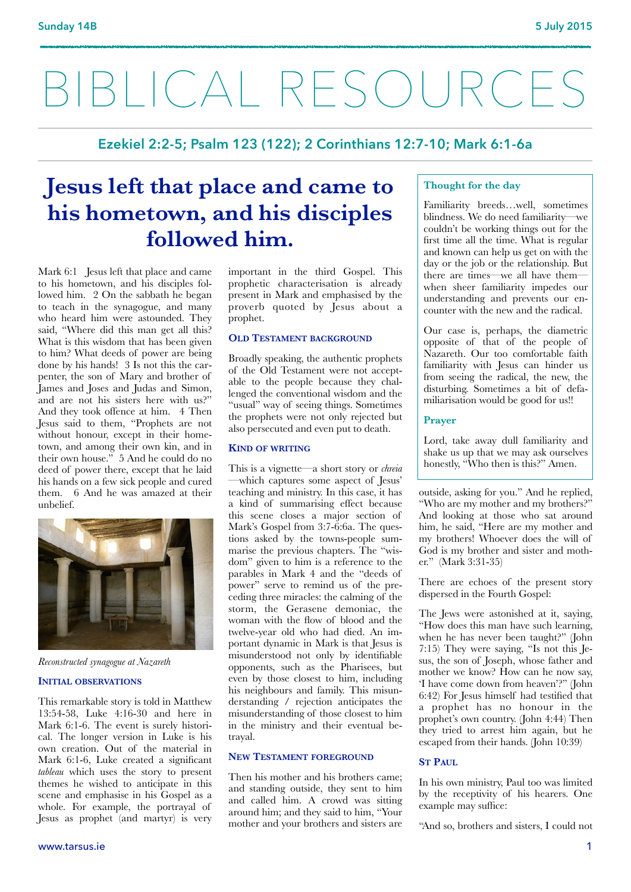# BIBLICAL RESOURCES

**Ezekiel 2:2-5; Psalm 123 (122); 2 Corinthians 12:7-10; Mark 6:1-6a**

## **Jesus left that place and came to his hometown, and his disciples followed him.**

Mark 6:1 Jesus left that place and came to his hometown, and his disciples followed him. 2 On the sabbath he began to teach in the synagogue, and many who heard him were astounded. They said, "Where did this man get all this? What is this wisdom that has been given to him? What deeds of power are being done by his hands! 3 Is not this the carpenter, the son of Mary and brother of James and Joses and Judas and Simon, and are not his sisters here with us?" And they took offence at him. 4 Then Jesus said to them, "Prophets are not without honour, except in their hometown, and among their own kin, and in their own house." 5 And he could do no deed of power there, except that he laid his hands on a few sick people and cured them. 6 And he was amazed at their unbelief.



*Reconstructed synagogue at Nazareth* 

#### **INITIAL OBSERVATIONS**

This remarkable story is told in Matthew 13:54-58, Luke 4:16-30 and here in Mark 6:1-6. The event is surely historical. The longer version in Luke is his own creation. Out of the material in Mark 6:1-6, Luke created a significant *tableau* which uses the story to present themes he wished to anticipate in this scene and emphasise in his Gospel as a whole. For example, the portrayal of Jesus as prophet (and martyr) is very important in the third Gospel. This prophetic characterisation is already present in Mark and emphasised by the proverb quoted by Jesus about a prophet.

#### **OLD TESTAMENT BACKGROUND**

Broadly speaking, the authentic prophets of the Old Testament were not acceptable to the people because they challenged the conventional wisdom and the "usual" way of seeing things. Sometimes the prophets were not only rejected but also persecuted and even put to death.

#### **KIND OF WRITING**

This is a vignette—a short story or *chreia* —which captures some aspect of Jesus' teaching and ministry. In this case, it has a kind of summarising effect because this scene closes a major section of Mark's Gospel from 3:7-6:6a. The questions asked by the towns-people summarise the previous chapters. The "wisdom" given to him is a reference to the parables in Mark 4 and the "deeds of power" serve to remind us of the preceding three miracles: the calming of the storm, the Gerasene demoniac, the woman with the flow of blood and the twelve-year old who had died. An important dynamic in Mark is that Jesus is misunderstood not only by identifiable opponents, such as the Pharisees, but even by those closest to him, including his neighbours and family. This misunderstanding / rejection anticipates the misunderstanding of those closest to him in the ministry and their eventual betrayal.

#### **NEW TESTAMENT FOREGROUND**

Then his mother and his brothers came; and standing outside, they sent to him and called him. A crowd was sitting around him; and they said to him, "Your mother and your brothers and sisters are

#### **Thought for the day**

Familiarity breeds…well, sometimes blindness. We do need familiarity—we couldn't be working things out for the first time all the time. What is regular and known can help us get on with the day or the job or the relationship. But there are times—we all have them when sheer familiarity impedes our understanding and prevents our encounter with the new and the radical.

Our case is, perhaps, the diametric opposite of that of the people of Nazareth. Our too comfortable faith familiarity with Jesus can hinder us from seeing the radical, the new, the disturbing. Sometimes a bit of defamiliarisation would be good for us!!

#### **Prayer**

Lord, take away dull familiarity and shake us up that we may ask ourselves honestly, "Who then is this?" Amen.

outside, asking for you." And he replied, "Who are my mother and my brothers?" And looking at those who sat around him, he said, "Here are my mother and my brothers! Whoever does the will of God is my brother and sister and mother." (Mark 3:31-35)

There are echoes of the present story dispersed in the Fourth Gospel:

The Jews were astonished at it, saying, "How does this man have such learning, when he has never been taught?" (John 7:15) They were saying, "Is not this Jesus, the son of Joseph, whose father and mother we know? How can he now say, 'I have come down from heaven'?" (John 6:42) For Jesus himself had testified that a prophet has no honour in the prophet's own country. (John 4:44) Then they tried to arrest him again, but he escaped from their hands. (John 10:39)

#### **ST PAUL**

In his own ministry, Paul too was limited by the receptivity of his hearers. One example may suffice:

"And so, brothers and sisters, I could not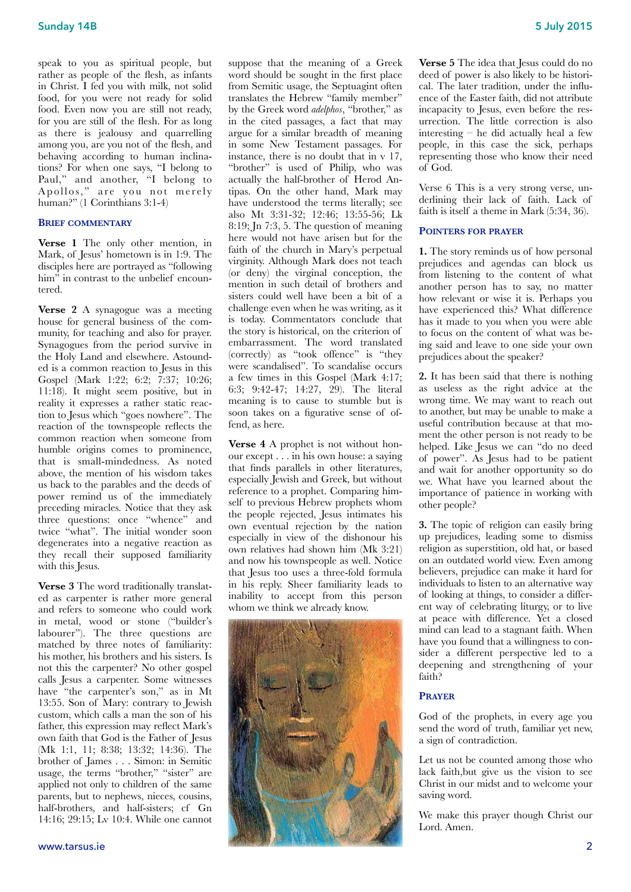speak to you as spiritual people, but rather as people of the flesh, as infants in Christ. I fed you with milk, not solid food, for you were not ready for solid food. Even now you are still not ready, for you are still of the flesh. For as long as there is jealousy and quarrelling among you, are you not of the flesh, and behaving according to human inclinations? For when one says, "I belong to Paul," and another, "I belong to Apollos," are you not merely human?" (1 Corinthians 3:1-4)

#### **BRIEF COMMENTARY**

**Verse 1** The only other mention, in Mark, of Jesus' hometown is in 1:9. The disciples here are portrayed as "following him" in contrast to the unbelief encountered.

**Verse 2** A synagogue was a meeting house for general business of the community, for teaching and also for prayer. Synagogues from the period survive in the Holy Land and elsewhere. Astounded is a common reaction to Jesus in this Gospel (Mark 1:22; 6:2; 7:37; 10:26; 11:18). It might seem positive, but in reality it expresses a rather static reaction to Jesus which "goes nowhere". The reaction of the townspeople reflects the common reaction when someone from humble origins comes to prominence, that is small-mindedness. As noted above, the mention of his wisdom takes us back to the parables and the deeds of power remind us of the immediately preceding miracles. Notice that they ask three questions: once "whence" and twice "what". The initial wonder soon degenerates into a negative reaction as they recall their supposed familiarity with this Jesus.

**Verse 3** The word traditionally translated as carpenter is rather more general and refers to someone who could work in metal, wood or stone ("builder's labourer"). The three questions are matched by three notes of familiarity: his mother, his brothers and his sisters. Is not this the carpenter? No other gospel calls Jesus a carpenter. Some witnesses have "the carpenter's son," as in Mt 13:55. Son of Mary: contrary to Jewish custom, which calls a man the son of his father, this expression may reflect Mark's own faith that God is the Father of Jesus (Mk 1:1, 11; 8:38; 13:32; 14:36). The brother of James . . . Simon: in Semitic usage, the terms "brother," "sister" are applied not only to children of the same parents, but to nephews, nieces, cousins, half-brothers, and half-sisters; cf Gn 14:16; 29:15; Lv 10:4. While one cannot suppose that the meaning of a Greek word should be sought in the first place from Semitic usage, the Septuagint often translates the Hebrew "family member" by the Greek word *adelphos*, "brother," as in the cited passages, a fact that may argue for a similar breadth of meaning in some New Testament passages. For instance, there is no doubt that in v 17, "brother" is used of Philip, who was actually the half-brother of Herod Antipas. On the other hand, Mark may have understood the terms literally; see also Mt 3:31-32; 12:46; 13:55-56; Lk 8:19; Jn 7:3, 5. The question of meaning here would not have arisen but for the faith of the church in Mary's perpetual virginity. Although Mark does not teach (or deny) the virginal conception, the mention in such detail of brothers and sisters could well have been a bit of a challenge even when he was writing, as it is today. Commentators conclude that the story is historical, on the criterion of embarrassment. The word translated (correctly) as "took offence" is "they were scandalised". To scandalise occurs a few times in this Gospel (Mark 4:17; 6:3; 9:42-47; 14:27, 29). The literal meaning is to cause to stumble but is soon takes on a figurative sense of offend, as here.

**Verse 4** A prophet is not without honour except . . . in his own house: a saying that finds parallels in other literatures, especially Jewish and Greek, but without reference to a prophet. Comparing himself to previous Hebrew prophets whom the people rejected, Jesus intimates his own eventual rejection by the nation especially in view of the dishonour his own relatives had shown him (Mk 3:21) and now his townspeople as well. Notice that Jesus too uses a three-fold formula in his reply. Sheer familiarity leads to inability to accept from this person whom we think we already know.



**Verse 5** The idea that Jesus could do no deed of power is also likely to be historical. The later tradition, under the influence of the Easter faith, did not attribute incapacity to Jesus, even before the resurrection. The little correction is also interesting – he did actually heal a few people, in this case the sick, perhaps representing those who know their need of God.

Verse 6 This is a very strong verse, underlining their lack of faith. Lack of faith is itself a theme in Mark (5:34, 36).

#### **POINTERS FOR PRAYER**

**1.** The story reminds us of how personal prejudices and agendas can block us from listening to the content of what another person has to say, no matter how relevant or wise it is. Perhaps you have experienced this? What difference has it made to you when you were able to focus on the content of what was being said and leave to one side your own prejudices about the speaker?

**2.** It has been said that there is nothing as useless as the right advice at the wrong time. We may want to reach out to another, but may be unable to make a useful contribution because at that moment the other person is not ready to be helped. Like Jesus we can "do no deed of power". As Jesus had to be patient and wait for another opportunity so do we. What have you learned about the importance of patience in working with other people?

**3.** The topic of religion can easily bring up prejudices, leading some to dismiss religion as superstition, old hat, or based on an outdated world view. Even among believers, prejudice can make it hard for individuals to listen to an alternative way of looking at things, to consider a different way of celebrating liturgy, or to live at peace with difference. Yet a closed mind can lead to a stagnant faith. When have you found that a willingness to consider a different perspective led to a deepening and strengthening of your faith?

#### **PRAYER**

God of the prophets, in every age you send the word of truth, familiar yet new, a sign of contradiction.

Let us not be counted among those who lack faith,but give us the vision to see Christ in our midst and to welcome your saving word.

We make this prayer though Christ our Lord. Amen.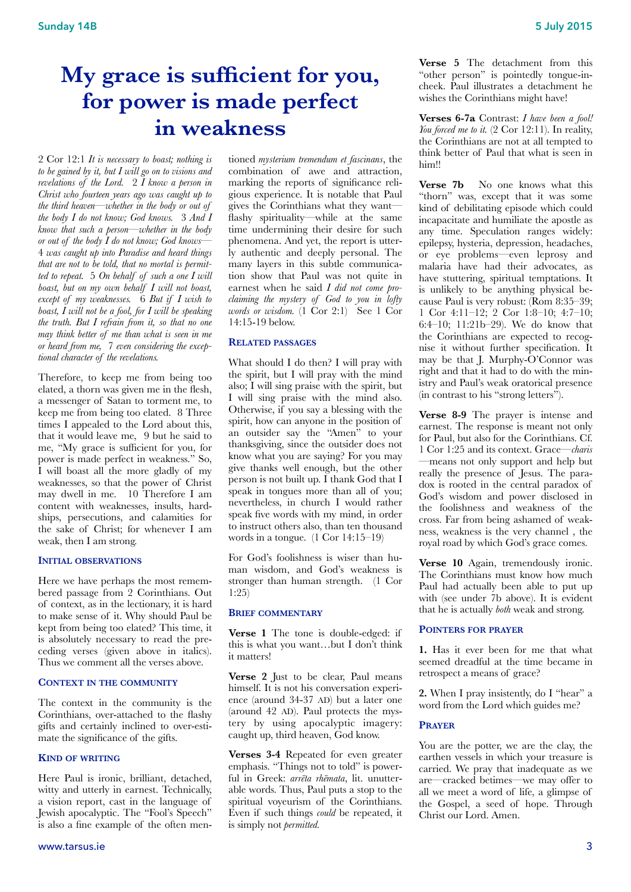## **My grace is sufficient for you, for power is made perfect in weakness**

2 Cor 12:1 *It is necessary to boast; nothing is to be gained by it, but I will go on to visions and revelations of the Lord.* 2 *I know a person in Christ who fourteen years ago was caught up to the third heaven—whether in the body or out of the body I do not know; God knows.* 3 *And I know that such a person—whether in the body or out of the body I do not know; God knows—*  4 *was caught up into Paradise and heard things that are not to be told, that no mortal is permitted to repeat.* 5 *On behalf of such a one I will boast, but on my own behalf I will not boast, except of my weaknesses.* 6 *But if I wish to boast, I will not be a fool, for I will be speaking the truth. But I refrain from it, so that no one may think better of me than what is seen in me or heard from me,* 7 *even considering the exceptional character of the revelations.* 

Therefore, to keep me from being too elated, a thorn was given me in the flesh, a messenger of Satan to torment me, to keep me from being too elated. 8 Three times I appealed to the Lord about this, that it would leave me, 9 but he said to me, "My grace is sufficient for you, for power is made perfect in weakness." So, I will boast all the more gladly of my weaknesses, so that the power of Christ may dwell in me. 10 Therefore I am content with weaknesses, insults, hardships, persecutions, and calamities for the sake of Christ; for whenever I am weak, then I am strong.

#### **INITIAL OBSERVATIONS**

Here we have perhaps the most remembered passage from 2 Corinthians. Out of context, as in the lectionary, it is hard to make sense of it. Why should Paul be kept from being too elated? This time, it is absolutely necessary to read the preceding verses (given above in italics). Thus we comment all the verses above.

#### **CONTEXT IN THE COMMUNITY**

The context in the community is the Corinthians, over-attached to the flashy gifts and certainly inclined to over-estimate the significance of the gifts.

#### **KIND OF WRITING**

Here Paul is ironic, brilliant, detached, witty and utterly in earnest. Technically, a vision report, cast in the language of Jewish apocalyptic. The "Fool's Speech" is also a fine example of the often men-

tioned *mysterium tremendum et fascinans*, the combination of awe and attraction, marking the reports of significance religious experience. It is notable that Paul gives the Corinthians what they want flashy spirituality—while at the same time undermining their desire for such phenomena. And yet, the report is utterly authentic and deeply personal. The many layers in this subtle communication show that Paul was not quite in earnest when he said *I did not come proclaiming the mystery of God to you in lofty words or wisdom.* (1 Cor 2:1) See 1 Cor 14:15-19 below.

#### **RELATED PASSAGES**

What should I do then? I will pray with the spirit, but I will pray with the mind also; I will sing praise with the spirit, but I will sing praise with the mind also. Otherwise, if you say a blessing with the spirit, how can anyone in the position of an outsider say the "Amen" to your thanksgiving, since the outsider does not know what you are saying? For you may give thanks well enough, but the other person is not built up. I thank God that I speak in tongues more than all of you; nevertheless, in church I would rather speak five words with my mind, in order to instruct others also, than ten thousand words in a tongue. (1 Cor 14:15–19)

For God's foolishness is wiser than human wisdom, and God's weakness is stronger than human strength. (1 Cor 1:25)

#### **BRIEF COMMENTARY**

**Verse 1** The tone is double-edged: if this is what you want…but I don't think it matters!

**Verse 2** Just to be clear, Paul means himself. It is not his conversation experience (around 34-37 AD) but a later one (around 42 AD). Paul protects the mystery by using apocalyptic imagery: caught up, third heaven, God know.

**Verses 3-4** Repeated for even greater emphasis. "Things not to told" is powerful in Greek: *arrēta rhēmata*, lit. unutterable words. Thus, Paul puts a stop to the spiritual voyeurism of the Corinthians. Even if such things *could* be repeated, it is simply not *permitted.* 

**Verse 5** The detachment from this "other person" is pointedly tongue-incheek. Paul illustrates a detachment he wishes the Corinthians might have!

**Verses 6-7a** Contrast: *I have been a fool! You forced me to it.*  $(2 \text{ Cor } 12:11)$ . In reality, the Corinthians are not at all tempted to think better of Paul that what is seen in him!!

**Verse 7b** No one knows what this "thorn" was, except that it was some kind of debilitating episode which could incapacitate and humiliate the apostle as any time. Speculation ranges widely: epilepsy, hysteria, depression, headaches, or eye problems—even leprosy and malaria have had their advocates, as have stuttering, spiritual temptations. It is unlikely to be anything physical because Paul is very robust: (Rom 8:35–39; 1 Cor 4:11–12; 2 Cor 1:8–10; 4:7–10; 6:4–10; 11:21b–29). We do know that the Corinthians are expected to recognise it without further specification. It may be that J. Murphy-O'Connor was right and that it had to do with the ministry and Paul's weak oratorical presence (in contrast to his "strong letters").

**Verse 8-9** The prayer is intense and earnest. The response is meant not only for Paul, but also for the Corinthians. Cf. 1 Cor 1:25 and its context. Grace—*charis* —means not only support and help but really the presence of Jesus. The paradox is rooted in the central paradox of God's wisdom and power disclosed in the foolishness and weakness of the cross. Far from being ashamed of weakness, weakness is the very channel , the royal road by which God's grace comes.

Verse 10 Again, tremendously ironic. The Corinthians must know how much Paul had actually been able to put up with (see under 7b above). It is evident that he is actually *both* weak and strong.

#### **POINTERS FOR PRAYER**

**1.** Has it ever been for me that what seemed dreadful at the time became in retrospect a means of grace?

**2.** When I pray insistently, do I "hear" a word from the Lord which guides me?

#### **PRAYER**

You are the potter, we are the clay, the earthen vessels in which your treasure is carried. We pray that inadequate as we are—cracked betimes—we may offer to all we meet a word of life, a glimpse of the Gospel, a seed of hope. Through Christ our Lord. Amen.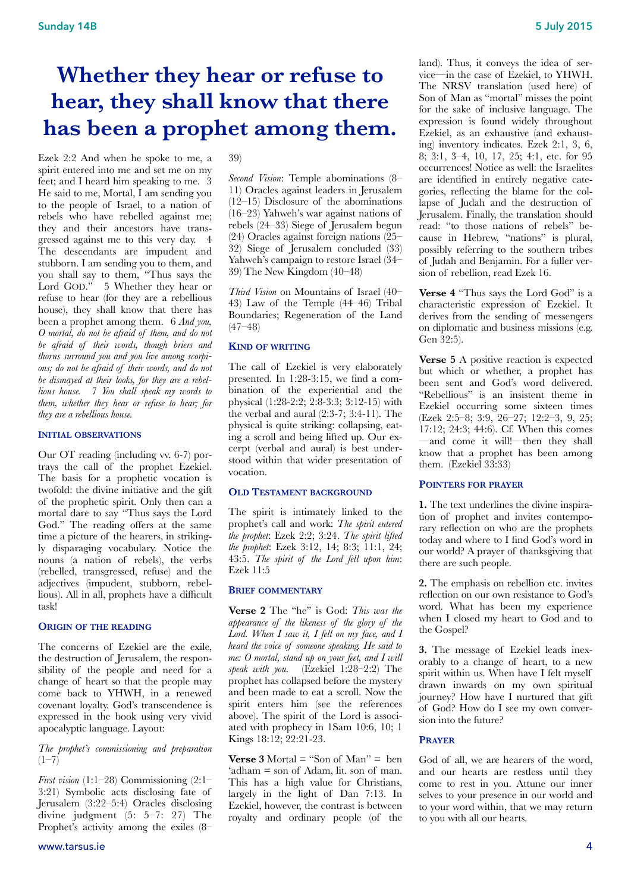## **Whether they hear or refuse to hear, they shall know that there has been a prophet among them.**

Ezek 2:2 And when he spoke to me, a spirit entered into me and set me on my feet; and I heard him speaking to me. 3 He said to me, Mortal, I am sending you to the people of Israel, to a nation of rebels who have rebelled against me; they and their ancestors have transgressed against me to this very day. 4 The descendants are impudent and stubborn. I am sending you to them, and you shall say to them, "Thus says the Lord GOD." 5 Whether they hear or refuse to hear (for they are a rebellious house), they shall know that there has been a prophet among them. 6 *And you, O mortal, do not be afraid of them, and do not be afraid of their words, though briers and thorns surround you and you live among scorpions; do not be afraid of their words, and do not be dismayed at their looks, for they are a rebellious house.* 7 *You shall speak my words to them, whether they hear or refuse to hear; for they are a rebellious house.*

#### **INITIAL OBSERVATIONS**

Our OT reading (including vv. 6-7) portrays the call of the prophet Ezekiel. The basis for a prophetic vocation is twofold: the divine initiative and the gift of the prophetic spirit. Only then can a mortal dare to say "Thus says the Lord God." The reading offers at the same time a picture of the hearers, in strikingly disparaging vocabulary. Notice the nouns (a nation of rebels), the verbs (rebelled, transgressed, refuse) and the adjectives (impudent, stubborn, rebellious). All in all, prophets have a difficult task!

#### **ORIGIN OF THE READING**

The concerns of Ezekiel are the exile, the destruction of Jerusalem, the responsibility of the people and need for a change of heart so that the people may come back to YHWH, in a renewed covenant loyalty. God's transcendence is expressed in the book using very vivid apocalyptic language. Layout:

#### *The prophet's commissioning and preparation*  $(1-7)$

*First vision* (1:1–28) Commissioning (2:1– 3:21) Symbolic acts disclosing fate of Jerusalem (3:22–5:4) Oracles disclosing divine judgment (5: 5–7: 27) The Prophet's activity among the exiles (8–

#### 39)

*Second Vision*: Temple abominations (8– 11) Oracles against leaders in Jerusalem (12–15) Disclosure of the abominations (16–23) Yahweh's war against nations of rebels (24–33) Siege of Jerusalem begun (24) Oracles against foreign nations (25– 32) Siege of Jerusalem concluded (33) Yahweh's campaign to restore Israel (34– 39) The New Kingdom (40–48)

*Third Vision* on Mountains of Israel (40– 43) Law of the Temple (44–46) Tribal Boundaries; Regeneration of the Land  $(47 - 48)$ 

#### **KIND OF WRITING**

The call of Ezekiel is very elaborately presented. In 1:28-3:15, we find a combination of the experiential and the physical (1:28-2:2; 2:8-3:3; 3:12-15) with the verbal and aural (2:3-7; 3:4-11). The physical is quite striking: collapsing, eating a scroll and being lifted up. Our excerpt (verbal and aural) is best understood within that wider presentation of vocation.

#### **OLD TESTAMENT BACKGROUND**

The spirit is intimately linked to the prophet's call and work: *The spirit entered the prophet*: Ezek 2:2; 3:24. *The spirit lifted the prophet*: Ezek 3:12, 14; 8:3; 11:1, 24; 43:5. *The spirit of the Lord fell upon him*: Ezek 11:5

#### **BRIEF COMMENTARY**

**Verse 2** The "he" is God: *This was the appearance of the likeness of the glory of the Lord. When I saw it, I fell on my face, and I heard the voice of someone speaking. He said to me: O mortal, stand up on your feet, and I will speak with you.* (Ezekiel 1:28–2:2) The prophet has collapsed before the mystery and been made to eat a scroll. Now the spirit enters him (see the references above). The spirit of the Lord is associated with prophecy in 1Sam 10:6, 10; 1 Kings 18:12; 22:21-23.

**Verse 3** Mortal = "Son of Man" = ben 'adham = son of Adam, lit. son of man. This has a high value for Christians, largely in the light of Dan 7:13. In Ezekiel, however, the contrast is between royalty and ordinary people (of the

land). Thus, it conveys the idea of service—in the case of Ezekiel, to YHWH. The NRSV translation (used here) of Son of Man as "mortal" misses the point for the sake of inclusive language. The expression is found widely throughout Ezekiel, as an exhaustive (and exhausting) inventory indicates. Ezek 2:1, 3, 6, 8; 3:1, 3–4, 10, 17, 25; 4:1, etc. for 95 occurrences! Notice as well: the Israelites are identified in entirely negative categories, reflecting the blame for the collapse of Judah and the destruction of Jerusalem. Finally, the translation should read: "to those nations of rebels" because in Hebrew, "nations" is plural, possibly referring to the southern tribes of Judah and Benjamin. For a fuller version of rebellion, read Ezek 16.

**Verse 4** "Thus says the Lord God" is a characteristic expression of Ezekiel. It derives from the sending of messengers on diplomatic and business missions (e.g. Gen 32:5).

**Verse 5** A positive reaction is expected but which or whether, a prophet has been sent and God's word delivered. "Rebellious" is an insistent theme in Ezekiel occurring some sixteen times (Ezek 2:5–8; 3:9, 26–27; 12:2–3, 9, 25; 17:12; 24:3; 44:6). Cf. When this comes —and come it will!—then they shall know that a prophet has been among them. (Ezekiel 33:33)

#### **POINTERS FOR PRAYER**

**1.** The text underlines the divine inspiration of prophet and invites contemporary reflection on who are the prophets today and where to I find God's word in our world? A prayer of thanksgiving that there are such people.

**2.** The emphasis on rebellion etc. invites reflection on our own resistance to God's word. What has been my experience when I closed my heart to God and to the Gospel?

**3.** The message of Ezekiel leads inexorably to a change of heart, to a new spirit within us. When have I felt myself drawn inwards on my own spiritual journey? How have I nurtured that gift of God? How do I see my own conversion into the future?

#### **PRAYER**

God of all, we are hearers of the word, and our hearts are restless until they come to rest in you. Attune our inner selves to your presence in our world and to your word within, that we may return to you with all our hearts.